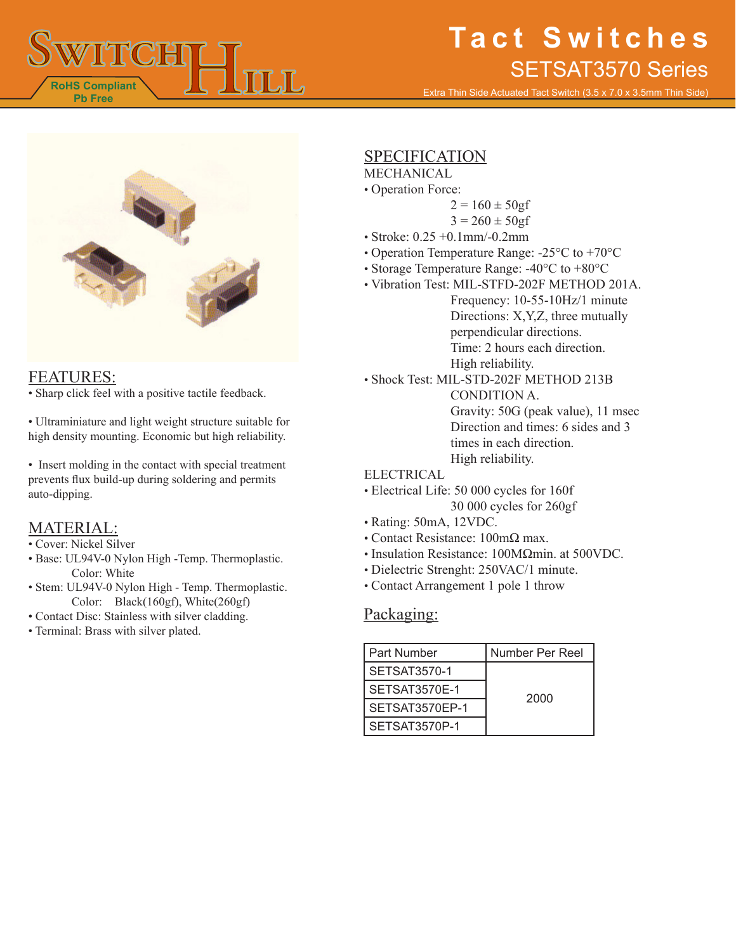

Extra Thin Side Actuated Tact Switch (3.5 x 7.0 x 3.5mm Thin Side)



#### FEATURES:

• Sharp click feel with a positive tactile feedback.

• Ultraminiature and light weight structure suitable for high density mounting. Economic but high reliability.

• Insert molding in the contact with special treatment prevents flux build-up during soldering and permits auto-dipping.

### MATERIAL:

• Cover: Nickel Silver

- Base: UL94V-0 Nylon High -Temp. Thermoplastic. Color: White
- Stem: UL94V-0 Nylon High Temp. Thermoplastic. Color: Black(160gf), White(260gf)
- Contact Disc: Stainless with silver cladding.
- Terminal: Brass with silver plated.

### SPECIFICATION

- MECHANICAL
- Operation Force:

$$
2 = 160 \pm 50 \text{gf}
$$

- $3 = 260 \pm 50$ gf
- Stroke: 0.25 +0.1mm/-0.2mm
- Operation Temperature Range: -25°C to +70°C
- Storage Temperature Range: -40°C to +80°C
- Vibration Test: MIL-STFD-202F METHOD 201A. Frequency: 10-55-10Hz/1 minute Directions: X,Y,Z, three mutually perpendicular directions. Time: 2 hours each direction. High reliability.
- Shock Test: MIL-STD-202F METHOD 213B
	- CONDITION A. Gravity: 50G (peak value), 11 msec Direction and times: 6 sides and 3 times in each direction. High reliability.

#### ELECTRICAL

- Electrical Life: 50 000 cycles for 160f 30 000 cycles for 260gf
- Rating: 50mA, 12VDC.
- Contact Resistance: 100mΩ max.
- Insulation Resistance: 100MΩmin. at 500VDC.
- Dielectric Strenght: 250VAC/1 minute.
- Contact Arrangement 1 pole 1 throw

#### Packaging:

| <b>Part Number</b>  | Number Per Reel |  |
|---------------------|-----------------|--|
| <b>SETSAT3570-1</b> | 2000            |  |
| SETSAT3570E-1       |                 |  |
| SETSAT3570EP-1      |                 |  |
| SETSAT3570P-1       |                 |  |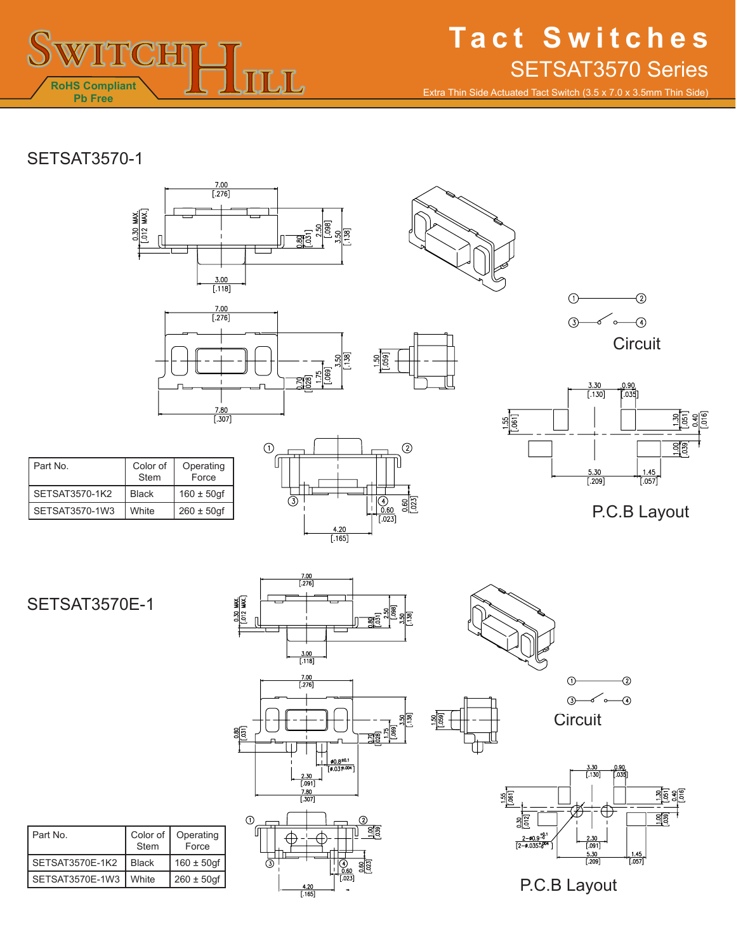

Extra Thin Side Actuated Tact Switch (3.5 x 7.0 x 3.5mm Thin Side)

## SETSAT3570-1











| Part No.       | Color of<br>Stem | Operating<br><b>Force</b> |
|----------------|------------------|---------------------------|
| SETSAT3570-1K2 | <b>Black</b>     | $160 \pm 50$ gf           |
| SFTSAT3570-1W3 | <b>White</b>     | $260 \pm 50$ gf           |





P.C.B Layout

### SETSAT3570E-1

Part No. Color of

Stem

SETSAT3570E-1K2 | Black | 160 ± 50gf SETSAT3570E-1W3 | White | 260 ± 50gf

Operating Force

| $\frac{0.30 \, \text{MAX}}{[.012 \, \text{MAX.}]}$ | $\frac{7.00}{[.276]}$<br>$\frac{2.50}{-.098}\overline{1,39}$<br><u>ar</u><br>20<br>3.00<br>$[.118]$ |
|----------------------------------------------------|-----------------------------------------------------------------------------------------------------|
| 85<br>86                                           | $\frac{7.00}{[.276]}$<br>$\frac{55}{1.38}$<br>$\frac{1}{2}$<br>$\overline{028}$                     |





 $\frac{1.55}{1.061}$ 

 $\odot$  $\sigma$   $\sim$  $\overline{\bigcirc}$ **Circuit** 

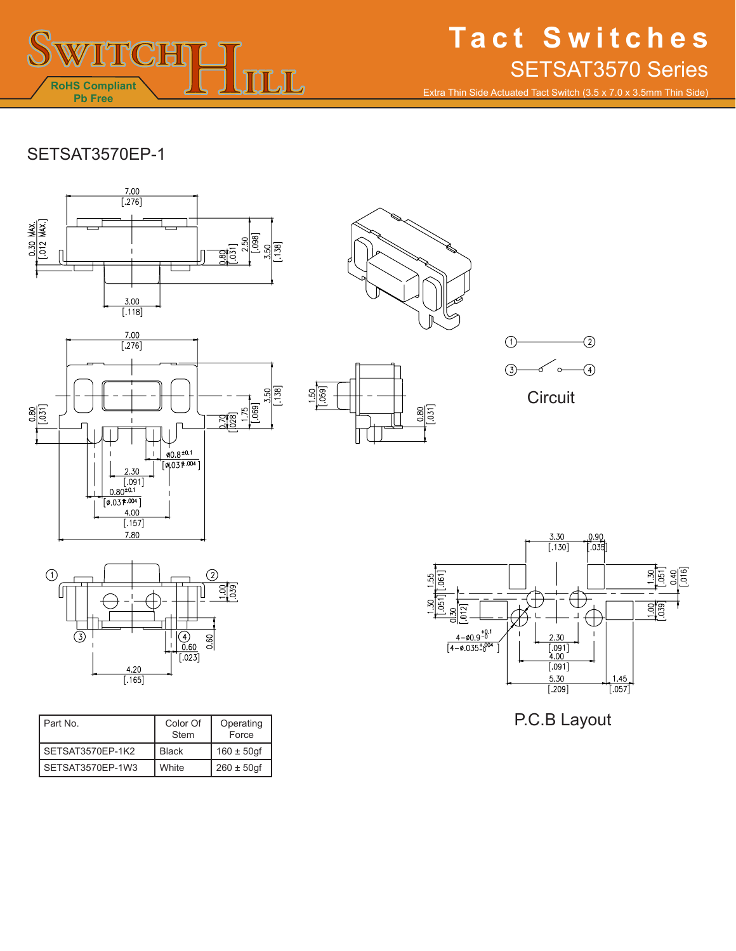

Extra Thin Side Actuated Tact Switch (3.5 x 7.0 x 3.5mm Thin Side)

## SETSAT3570EP-1











**Circuit** 



| Part No.         | Color Of<br>Stem | Operating<br>Force |
|------------------|------------------|--------------------|
| SETSAT3570EP-1K2 | <b>Black</b>     | $160 \pm 50$ gf    |
| SETSAT3570EP-1W3 | <b>White</b>     | $260 \pm 50$ gf    |



P.C.B Layout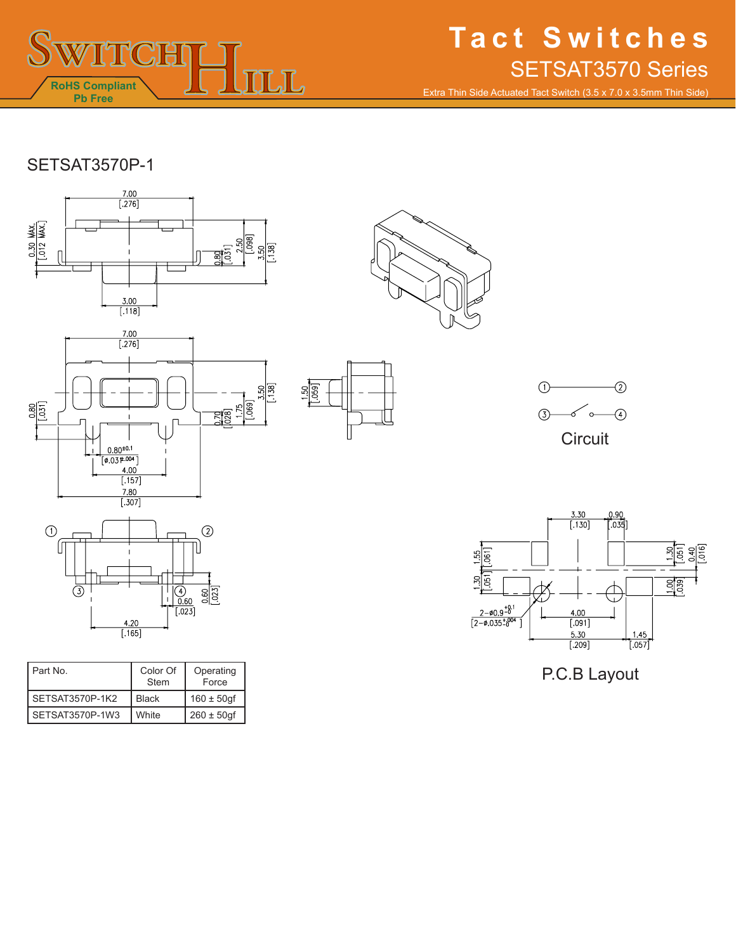

Extra Thin Side Actuated Tact Switch (3.5 x 7.0 x 3.5mm Thin Side)

### SETSAT3570P-1





| Part No.        | Color Of<br>Stem | Operating<br>Force |
|-----------------|------------------|--------------------|
| SETSAT3570P-1K2 | <b>Black</b>     | $160 \pm 50$ gf    |
| SFTSAT3570P-1W3 | <b>White</b>     | $260 \pm 50$ gf    |







P.C.B Layout